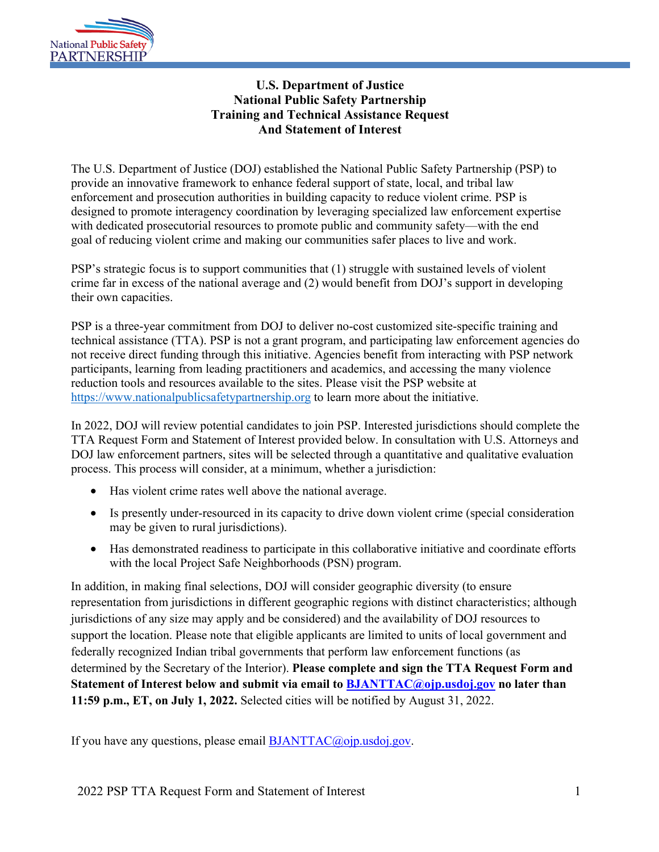

## **U.S. Department of Justice National Public Safety Partnership Training and Technical Assistance Request And Statement of Interest**

The U.S. Department of Justice (DOJ) established the National Public Safety Partnership (PSP) to provide an innovative framework to enhance federal support of state, local, and tribal law enforcement and prosecution authorities in building capacity to reduce violent crime. PSP is designed to promote interagency coordination by leveraging specialized law enforcement expertise with dedicated prosecutorial resources to promote public and community safety—with the end goal of reducing violent crime and making our communities safer places to live and work.

PSP's strategic focus is to support communities that (1) struggle with sustained levels of violent crime far in excess of the national average and (2) would benefit from DOJ's support in developing their own capacities.

PSP is a three-year commitment from DOJ to deliver no-cost customized site-specific training and technical assistance (TTA). PSP is not a grant program, and participating law enforcement agencies do not receive direct funding through this initiative. Agencies benefit from interacting with PSP network participants, learning from leading practitioners and academics, and accessing the many violence reduction tools and resources available to the sites. Please visit the PSP website at https://www.nationalpublicsafetypartnership.org to learn more about the initiative.

In 2022, DOJ will review potential candidates to join PSP. Interested jurisdictions should complete the TTA Request Form and Statement of Interest provided below. In consultation with U.S. Attorneys and DOJ law enforcement partners, sites will be selected through a quantitative and qualitative evaluation process. This process will consider, at a minimum, whether a jurisdiction:

- Has violent crime rates well above the national average.
- Is presently under-resourced in its capacity to drive down violent crime (special consideration may be given to rural jurisdictions).
- Has demonstrated readiness to participate in this collaborative initiative and coordinate efforts with the local Project Safe Neighborhoods (PSN) program.

In addition, in making final selections, DOJ will consider geographic diversity (to ensure representation from jurisdictions in different geographic regions with distinct characteristics; although jurisdictions of any size may apply and be considered) and the availability of DOJ resources to support the location. Please note that eligible applicants are limited to units of local government and federally recognized Indian tribal governments that perform law enforcement functions (as determined by the Secretary of the Interior). **Please complete and sign the TTA Request Form and Statement of Interest below and submit via email to BJANTTAC@ojp.usdoj.gov no later than 11:59 p.m., ET, on July 1, 2022.** Selected cities will be notified by August 31, 2022.

If you have any questions, please email BJANTTAC@ojp.usdoj.gov.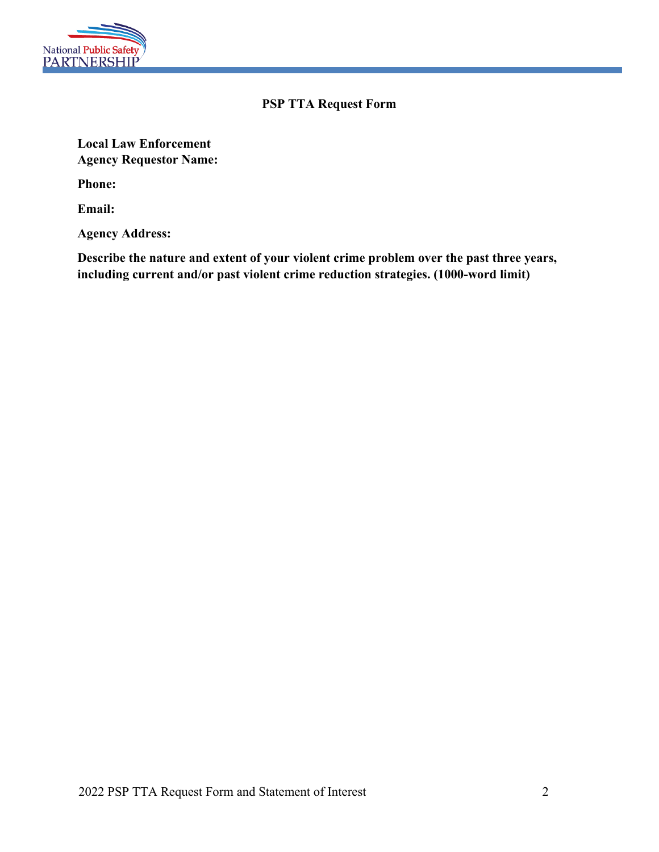

## **PSP TTA Request Form**

**Local Law Enforcement Agency Requestor Name:**

**Phone:**

**Email:**

**Agency Address:**

**Describe the nature and extent of your violent crime problem over the past three years, including current and/or past violent crime reduction strategies. (1000-word limit)**